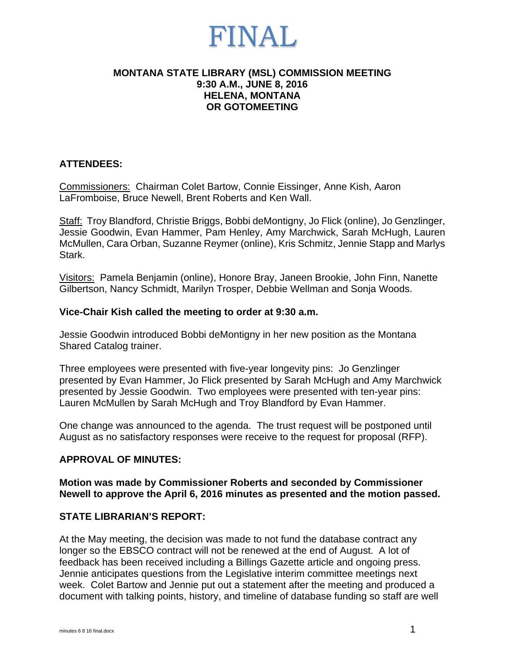#### **MONTANA STATE LIBRARY (MSL) COMMISSION MEETING 9:30 A.M., JUNE 8, 2016 HELENA, MONTANA OR GOTOMEETING**

#### **ATTENDEES:**

Commissioners: Chairman Colet Bartow, Connie Eissinger, Anne Kish, Aaron LaFromboise, Bruce Newell, Brent Roberts and Ken Wall.

Staff: Troy Blandford, Christie Briggs, Bobbi deMontigny, Jo Flick (online), Jo Genzlinger, Jessie Goodwin, Evan Hammer, Pam Henley, Amy Marchwick, Sarah McHugh, Lauren McMullen, Cara Orban, Suzanne Reymer (online), Kris Schmitz, Jennie Stapp and Marlys Stark.

Visitors: Pamela Benjamin (online), Honore Bray, Janeen Brookie, John Finn, Nanette Gilbertson, Nancy Schmidt, Marilyn Trosper, Debbie Wellman and Sonja Woods.

#### **Vice-Chair Kish called the meeting to order at 9:30 a.m.**

Jessie Goodwin introduced Bobbi deMontigny in her new position as the Montana Shared Catalog trainer.

Three employees were presented with five-year longevity pins: Jo Genzlinger presented by Evan Hammer, Jo Flick presented by Sarah McHugh and Amy Marchwick presented by Jessie Goodwin. Two employees were presented with ten-year pins: Lauren McMullen by Sarah McHugh and Troy Blandford by Evan Hammer.

One change was announced to the agenda. The trust request will be postponed until August as no satisfactory responses were receive to the request for proposal (RFP).

#### **APPROVAL OF MINUTES:**

**Motion was made by Commissioner Roberts and seconded by Commissioner Newell to approve the April 6, 2016 minutes as presented and the motion passed.** 

#### **STATE LIBRARIAN'S REPORT:**

At the May meeting, the decision was made to not fund the database contract any longer so the EBSCO contract will not be renewed at the end of August. A lot of feedback has been received including a Billings Gazette article and ongoing press. Jennie anticipates questions from the Legislative interim committee meetings next week. Colet Bartow and Jennie put out a statement after the meeting and produced a document with talking points, history, and timeline of database funding so staff are well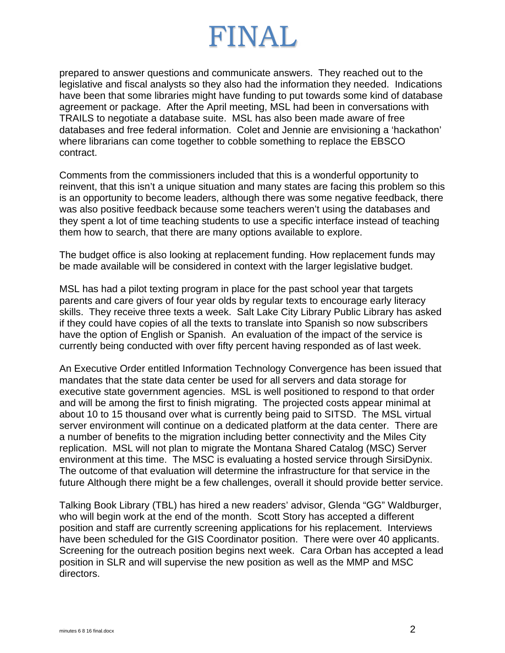prepared to answer questions and communicate answers. They reached out to the legislative and fiscal analysts so they also had the information they needed. Indications have been that some libraries might have funding to put towards some kind of database agreement or package. After the April meeting, MSL had been in conversations with TRAILS to negotiate a database suite. MSL has also been made aware of free databases and free federal information. Colet and Jennie are envisioning a 'hackathon' where librarians can come together to cobble something to replace the EBSCO contract.

Comments from the commissioners included that this is a wonderful opportunity to reinvent, that this isn't a unique situation and many states are facing this problem so this is an opportunity to become leaders, although there was some negative feedback, there was also positive feedback because some teachers weren't using the databases and they spent a lot of time teaching students to use a specific interface instead of teaching them how to search, that there are many options available to explore.

The budget office is also looking at replacement funding. How replacement funds may be made available will be considered in context with the larger legislative budget.

MSL has had a pilot texting program in place for the past school year that targets parents and care givers of four year olds by regular texts to encourage early literacy skills. They receive three texts a week. Salt Lake City Library Public Library has asked if they could have copies of all the texts to translate into Spanish so now subscribers have the option of English or Spanish. An evaluation of the impact of the service is currently being conducted with over fifty percent having responded as of last week.

An Executive Order entitled Information Technology Convergence has been issued that mandates that the state data center be used for all servers and data storage for executive state government agencies. MSL is well positioned to respond to that order and will be among the first to finish migrating. The projected costs appear minimal at about 10 to 15 thousand over what is currently being paid to SITSD. The MSL virtual server environment will continue on a dedicated platform at the data center. There are a number of benefits to the migration including better connectivity and the Miles City replication. MSL will not plan to migrate the Montana Shared Catalog (MSC) Server environment at this time. The MSC is evaluating a hosted service through SirsiDynix. The outcome of that evaluation will determine the infrastructure for that service in the future Although there might be a few challenges, overall it should provide better service.

Talking Book Library (TBL) has hired a new readers' advisor, Glenda "GG" Waldburger, who will begin work at the end of the month. Scott Story has accepted a different position and staff are currently screening applications for his replacement. Interviews have been scheduled for the GIS Coordinator position. There were over 40 applicants. Screening for the outreach position begins next week. Cara Orban has accepted a lead position in SLR and will supervise the new position as well as the MMP and MSC directors.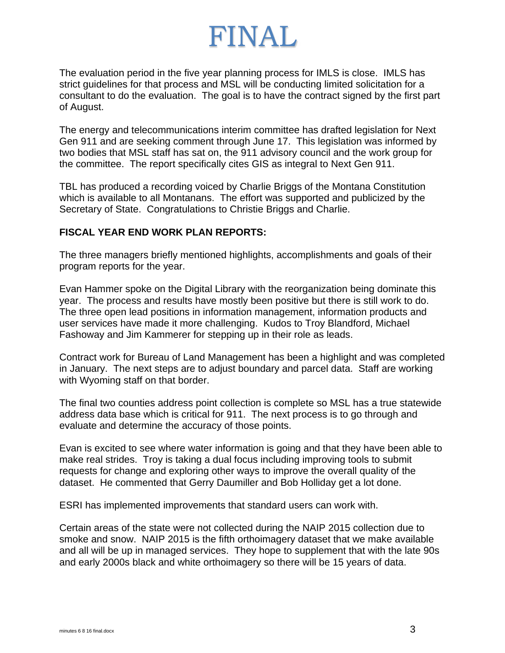The evaluation period in the five year planning process for IMLS is close. IMLS has strict guidelines for that process and MSL will be conducting limited solicitation for a consultant to do the evaluation. The goal is to have the contract signed by the first part of August.

The energy and telecommunications interim committee has drafted legislation for Next Gen 911 and are seeking comment through June 17. This legislation was informed by two bodies that MSL staff has sat on, the 911 advisory council and the work group for the committee. The report specifically cites GIS as integral to Next Gen 911.

TBL has produced a recording voiced by Charlie Briggs of the Montana Constitution which is available to all Montanans. The effort was supported and publicized by the Secretary of State. Congratulations to Christie Briggs and Charlie.

#### **FISCAL YEAR END WORK PLAN REPORTS:**

The three managers briefly mentioned highlights, accomplishments and goals of their program reports for the year.

Evan Hammer spoke on the Digital Library with the reorganization being dominate this year. The process and results have mostly been positive but there is still work to do. The three open lead positions in information management, information products and user services have made it more challenging. Kudos to Troy Blandford, Michael Fashoway and Jim Kammerer for stepping up in their role as leads.

Contract work for Bureau of Land Management has been a highlight and was completed in January. The next steps are to adjust boundary and parcel data. Staff are working with Wyoming staff on that border.

The final two counties address point collection is complete so MSL has a true statewide address data base which is critical for 911. The next process is to go through and evaluate and determine the accuracy of those points.

Evan is excited to see where water information is going and that they have been able to make real strides. Troy is taking a dual focus including improving tools to submit requests for change and exploring other ways to improve the overall quality of the dataset. He commented that Gerry Daumiller and Bob Holliday get a lot done.

ESRI has implemented improvements that standard users can work with.

Certain areas of the state were not collected during the NAIP 2015 collection due to smoke and snow. NAIP 2015 is the fifth orthoimagery dataset that we make available and all will be up in managed services. They hope to supplement that with the late 90s and early 2000s black and white orthoimagery so there will be 15 years of data.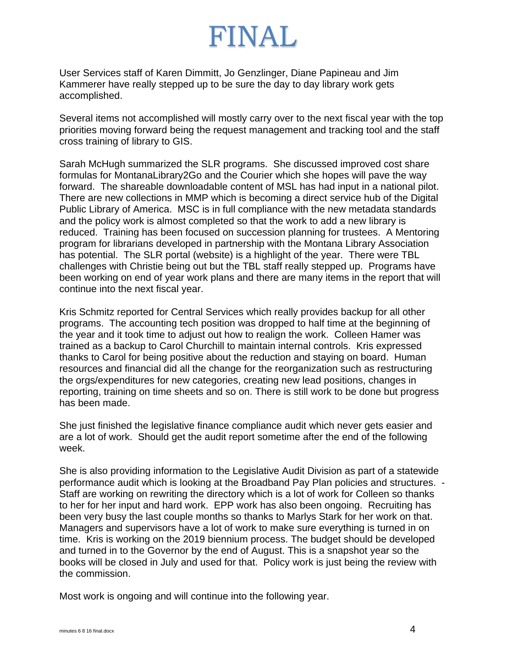User Services staff of Karen Dimmitt, Jo Genzlinger, Diane Papineau and Jim Kammerer have really stepped up to be sure the day to day library work gets accomplished.

Several items not accomplished will mostly carry over to the next fiscal year with the top priorities moving forward being the request management and tracking tool and the staff cross training of library to GIS.

Sarah McHugh summarized the SLR programs. She discussed improved cost share formulas for MontanaLibrary2Go and the Courier which she hopes will pave the way forward. The shareable downloadable content of MSL has had input in a national pilot. There are new collections in MMP which is becoming a direct service hub of the Digital Public Library of America. MSC is in full compliance with the new metadata standards and the policy work is almost completed so that the work to add a new library is reduced. Training has been focused on succession planning for trustees. A Mentoring program for librarians developed in partnership with the Montana Library Association has potential. The SLR portal (website) is a highlight of the year. There were TBL challenges with Christie being out but the TBL staff really stepped up. Programs have been working on end of year work plans and there are many items in the report that will continue into the next fiscal year.

Kris Schmitz reported for Central Services which really provides backup for all other programs. The accounting tech position was dropped to half time at the beginning of the year and it took time to adjust out how to realign the work. Colleen Hamer was trained as a backup to Carol Churchill to maintain internal controls. Kris expressed thanks to Carol for being positive about the reduction and staying on board. Human resources and financial did all the change for the reorganization such as restructuring the orgs/expenditures for new categories, creating new lead positions, changes in reporting, training on time sheets and so on. There is still work to be done but progress has been made.

She just finished the legislative finance compliance audit which never gets easier and are a lot of work. Should get the audit report sometime after the end of the following week.

She is also providing information to the Legislative Audit Division as part of a statewide performance audit which is looking at the Broadband Pay Plan policies and structures. - Staff are working on rewriting the directory which is a lot of work for Colleen so thanks to her for her input and hard work. EPP work has also been ongoing. Recruiting has been very busy the last couple months so thanks to Marlys Stark for her work on that. Managers and supervisors have a lot of work to make sure everything is turned in on time. Kris is working on the 2019 biennium process. The budget should be developed and turned in to the Governor by the end of August. This is a snapshot year so the books will be closed in July and used for that. Policy work is just being the review with the commission.

Most work is ongoing and will continue into the following year.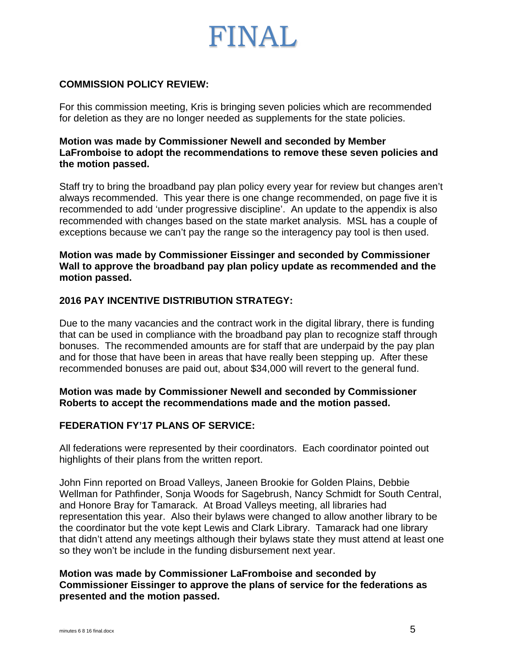

#### **COMMISSION POLICY REVIEW:**

For this commission meeting, Kris is bringing seven policies which are recommended for deletion as they are no longer needed as supplements for the state policies.

**Motion was made by Commissioner Newell and seconded by Member LaFromboise to adopt the recommendations to remove these seven policies and the motion passed.** 

Staff try to bring the broadband pay plan policy every year for review but changes aren't always recommended. This year there is one change recommended, on page five it is recommended to add 'under progressive discipline'. An update to the appendix is also recommended with changes based on the state market analysis. MSL has a couple of exceptions because we can't pay the range so the interagency pay tool is then used.

**Motion was made by Commissioner Eissinger and seconded by Commissioner Wall to approve the broadband pay plan policy update as recommended and the motion passed.** 

#### **2016 PAY INCENTIVE DISTRIBUTION STRATEGY:**

Due to the many vacancies and the contract work in the digital library, there is funding that can be used in compliance with the broadband pay plan to recognize staff through bonuses. The recommended amounts are for staff that are underpaid by the pay plan and for those that have been in areas that have really been stepping up. After these recommended bonuses are paid out, about \$34,000 will revert to the general fund.

#### **Motion was made by Commissioner Newell and seconded by Commissioner Roberts to accept the recommendations made and the motion passed.**

#### **FEDERATION FY'17 PLANS OF SERVICE:**

All federations were represented by their coordinators. Each coordinator pointed out highlights of their plans from the written report.

John Finn reported on Broad Valleys, Janeen Brookie for Golden Plains, Debbie Wellman for Pathfinder, Sonja Woods for Sagebrush, Nancy Schmidt for South Central, and Honore Bray for Tamarack. At Broad Valleys meeting, all libraries had representation this year. Also their bylaws were changed to allow another library to be the coordinator but the vote kept Lewis and Clark Library. Tamarack had one library that didn't attend any meetings although their bylaws state they must attend at least one so they won't be include in the funding disbursement next year.

#### **Motion was made by Commissioner LaFromboise and seconded by Commissioner Eissinger to approve the plans of service for the federations as presented and the motion passed.**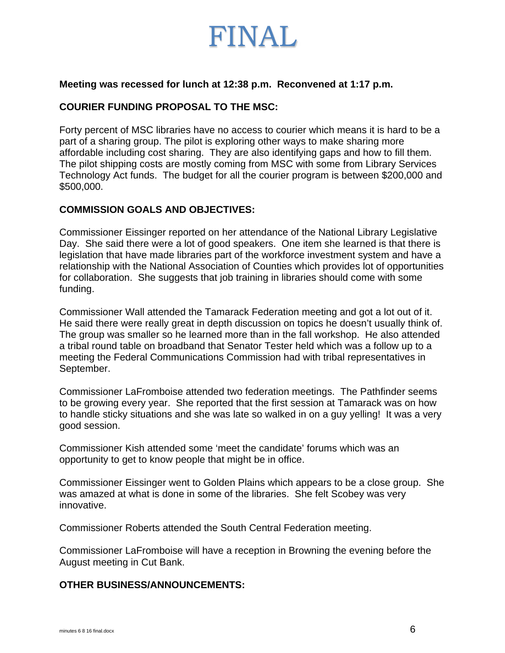

#### **Meeting was recessed for lunch at 12:38 p.m. Reconvened at 1:17 p.m.**

#### **COURIER FUNDING PROPOSAL TO THE MSC:**

Forty percent of MSC libraries have no access to courier which means it is hard to be a part of a sharing group. The pilot is exploring other ways to make sharing more affordable including cost sharing. They are also identifying gaps and how to fill them. The pilot shipping costs are mostly coming from MSC with some from Library Services Technology Act funds. The budget for all the courier program is between \$200,000 and \$500,000.

#### **COMMISSION GOALS AND OBJECTIVES:**

Commissioner Eissinger reported on her attendance of the National Library Legislative Day. She said there were a lot of good speakers. One item she learned is that there is legislation that have made libraries part of the workforce investment system and have a relationship with the National Association of Counties which provides lot of opportunities for collaboration. She suggests that job training in libraries should come with some funding.

Commissioner Wall attended the Tamarack Federation meeting and got a lot out of it. He said there were really great in depth discussion on topics he doesn't usually think of. The group was smaller so he learned more than in the fall workshop. He also attended a tribal round table on broadband that Senator Tester held which was a follow up to a meeting the Federal Communications Commission had with tribal representatives in September.

Commissioner LaFromboise attended two federation meetings. The Pathfinder seems to be growing every year. She reported that the first session at Tamarack was on how to handle sticky situations and she was late so walked in on a guy yelling! It was a very good session.

Commissioner Kish attended some 'meet the candidate' forums which was an opportunity to get to know people that might be in office.

Commissioner Eissinger went to Golden Plains which appears to be a close group. She was amazed at what is done in some of the libraries. She felt Scobey was very innovative.

Commissioner Roberts attended the South Central Federation meeting.

Commissioner LaFromboise will have a reception in Browning the evening before the August meeting in Cut Bank.

#### **OTHER BUSINESS/ANNOUNCEMENTS:**